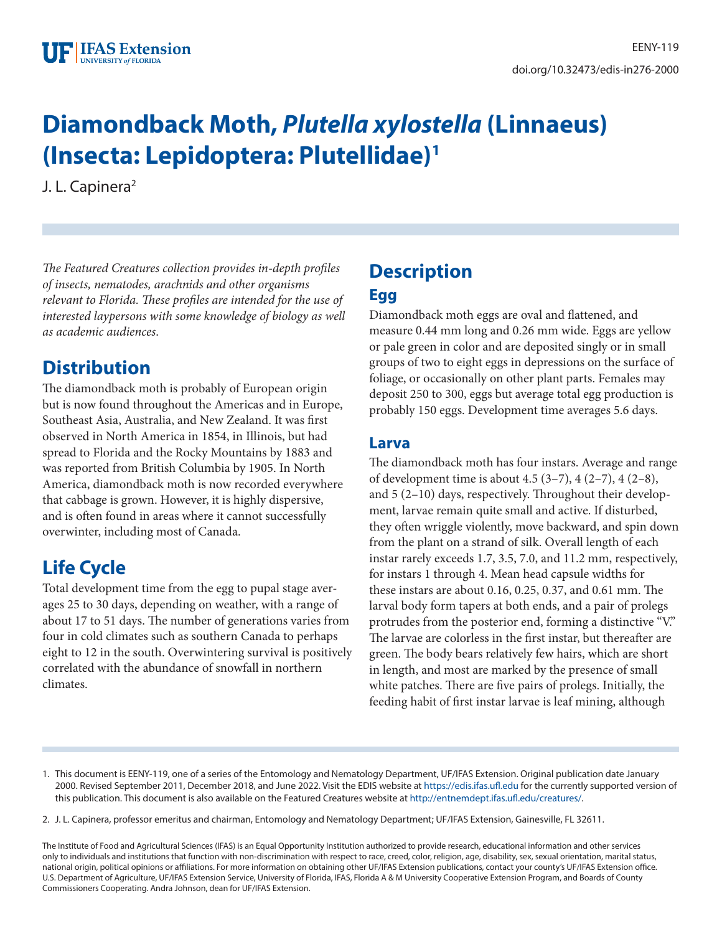# **Diamondback Moth,** *Plutella xylostella* **(Linnaeus) (Insecta: Lepidoptera: Plutellidae)1**

J. L. Capinera<sup>2</sup>

*The Featured Creatures collection provides in-depth profiles of insects, nematodes, arachnids and other organisms relevant to Florida. These profiles are intended for the use of interested laypersons with some knowledge of biology as well as academic audiences*.

# **Distribution**

The diamondback moth is probably of European origin but is now found throughout the Americas and in Europe, Southeast Asia, Australia, and New Zealand. It was first observed in North America in 1854, in Illinois, but had spread to Florida and the Rocky Mountains by 1883 and was reported from British Columbia by 1905. In North America, diamondback moth is now recorded everywhere that cabbage is grown. However, it is highly dispersive, and is often found in areas where it cannot successfully overwinter, including most of Canada.

# **Life Cycle**

Total development time from the egg to pupal stage averages 25 to 30 days, depending on weather, with a range of about 17 to 51 days. The number of generations varies from four in cold climates such as southern Canada to perhaps eight to 12 in the south. Overwintering survival is positively correlated with the abundance of snowfall in northern climates.

# **Description Egg**

Diamondback moth eggs are oval and flattened, and measure 0.44 mm long and 0.26 mm wide. Eggs are yellow or pale green in color and are deposited singly or in small groups of two to eight eggs in depressions on the surface of foliage, or occasionally on other plant parts. Females may deposit 250 to 300, eggs but average total egg production is probably 150 eggs. Development time averages 5.6 days.

#### **Larva**

The diamondback moth has four instars. Average and range of development time is about 4.5 (3–7), 4 (2–7), 4 (2–8), and 5 (2–10) days, respectively. Throughout their development, larvae remain quite small and active. If disturbed, they often wriggle violently, move backward, and spin down from the plant on a strand of silk. Overall length of each instar rarely exceeds 1.7, 3.5, 7.0, and 11.2 mm, respectively, for instars 1 through 4. Mean head capsule widths for these instars are about 0.16, 0.25, 0.37, and 0.61 mm. The larval body form tapers at both ends, and a pair of prolegs protrudes from the posterior end, forming a distinctive "V." The larvae are colorless in the first instar, but thereafter are green. The body bears relatively few hairs, which are short in length, and most are marked by the presence of small white patches. There are five pairs of prolegs. Initially, the feeding habit of first instar larvae is leaf mining, although

- 1. This document is EENY-119, one of a series of the Entomology and Nematology Department, UF/IFAS Extension. Original publication date January 2000. Revised September 2011, December 2018, and June 2022. Visit the EDIS website at <https://edis.ifas.ufl.edu> for the currently supported version of this publication. This document is also available on the Featured Creatures website at <http://entnemdept.ifas.ufl.edu/creatures/>.
- 2. J. L. Capinera, professor emeritus and chairman, Entomology and Nematology Department; UF/IFAS Extension, Gainesville, FL 32611.

The Institute of Food and Agricultural Sciences (IFAS) is an Equal Opportunity Institution authorized to provide research, educational information and other services only to individuals and institutions that function with non-discrimination with respect to race, creed, color, religion, age, disability, sex, sexual orientation, marital status, national origin, political opinions or affiliations. For more information on obtaining other UF/IFAS Extension publications, contact your county's UF/IFAS Extension office. U.S. Department of Agriculture, UF/IFAS Extension Service, University of Florida, IFAS, Florida A & M University Cooperative Extension Program, and Boards of County Commissioners Cooperating. Andra Johnson, dean for UF/IFAS Extension.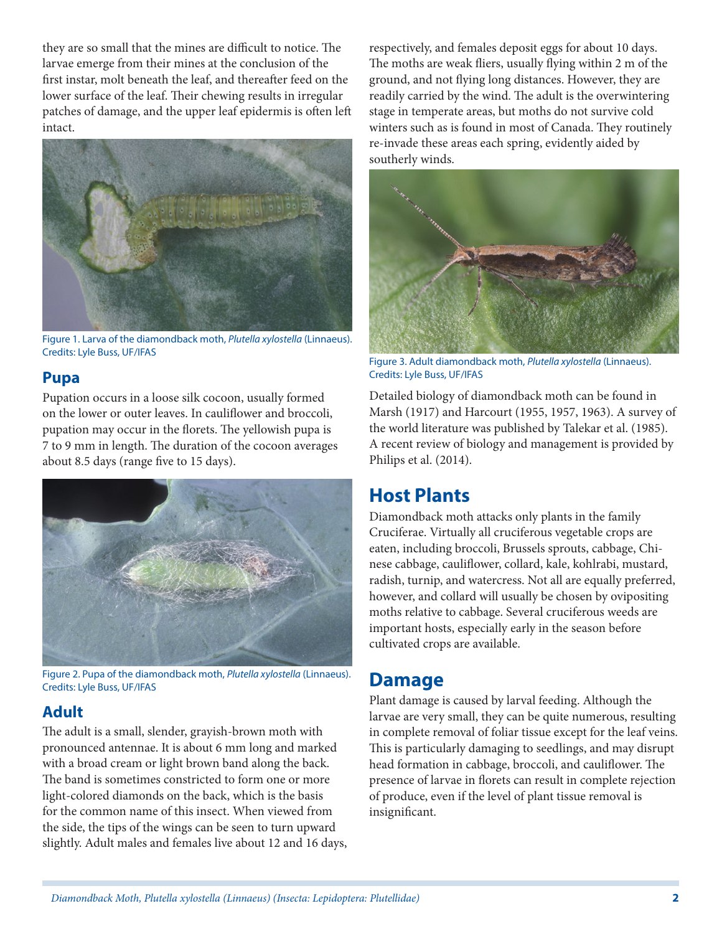they are so small that the mines are difficult to notice. The larvae emerge from their mines at the conclusion of the first instar, molt beneath the leaf, and thereafter feed on the lower surface of the leaf. Their chewing results in irregular patches of damage, and the upper leaf epidermis is often left intact.



Figure 1. Larva of the diamondback moth, *Plutella xylostella* (Linnaeus). Credits: Lyle Buss, UF/IFAS

#### **Pupa**

Pupation occurs in a loose silk cocoon, usually formed on the lower or outer leaves. In cauliflower and broccoli, pupation may occur in the florets. The yellowish pupa is 7 to 9 mm in length. The duration of the cocoon averages about 8.5 days (range five to 15 days).



Figure 2. Pupa of the diamondback moth, *Plutella xylostella* (Linnaeus). Credits: Lyle Buss, UF/IFAS

#### **Adult**

The adult is a small, slender, grayish-brown moth with pronounced antennae. It is about 6 mm long and marked with a broad cream or light brown band along the back. The band is sometimes constricted to form one or more light-colored diamonds on the back, which is the basis for the common name of this insect. When viewed from the side, the tips of the wings can be seen to turn upward slightly. Adult males and females live about 12 and 16 days, respectively, and females deposit eggs for about 10 days. The moths are weak fliers, usually flying within 2 m of the ground, and not flying long distances. However, they are readily carried by the wind. The adult is the overwintering stage in temperate areas, but moths do not survive cold winters such as is found in most of Canada. They routinely re-invade these areas each spring, evidently aided by southerly winds.



Figure 3. Adult diamondback moth, *Plutella xylostella* (Linnaeus). Credits: Lyle Buss, UF/IFAS

Detailed biology of diamondback moth can be found in Marsh (1917) and Harcourt (1955, 1957, 1963). A survey of the world literature was published by Talekar et al. (1985). A recent review of biology and management is provided by Philips et al. (2014).

### **Host Plants**

Diamondback moth attacks only plants in the family Cruciferae. Virtually all cruciferous vegetable crops are eaten, including broccoli, Brussels sprouts, cabbage, Chinese cabbage, cauliflower, collard, kale, kohlrabi, mustard, radish, turnip, and watercress. Not all are equally preferred, however, and collard will usually be chosen by ovipositing moths relative to cabbage. Several cruciferous weeds are important hosts, especially early in the season before cultivated crops are available.

#### **Damage**

Plant damage is caused by larval feeding. Although the larvae are very small, they can be quite numerous, resulting in complete removal of foliar tissue except for the leaf veins. This is particularly damaging to seedlings, and may disrupt head formation in cabbage, broccoli, and cauliflower. The presence of larvae in florets can result in complete rejection of produce, even if the level of plant tissue removal is insignificant.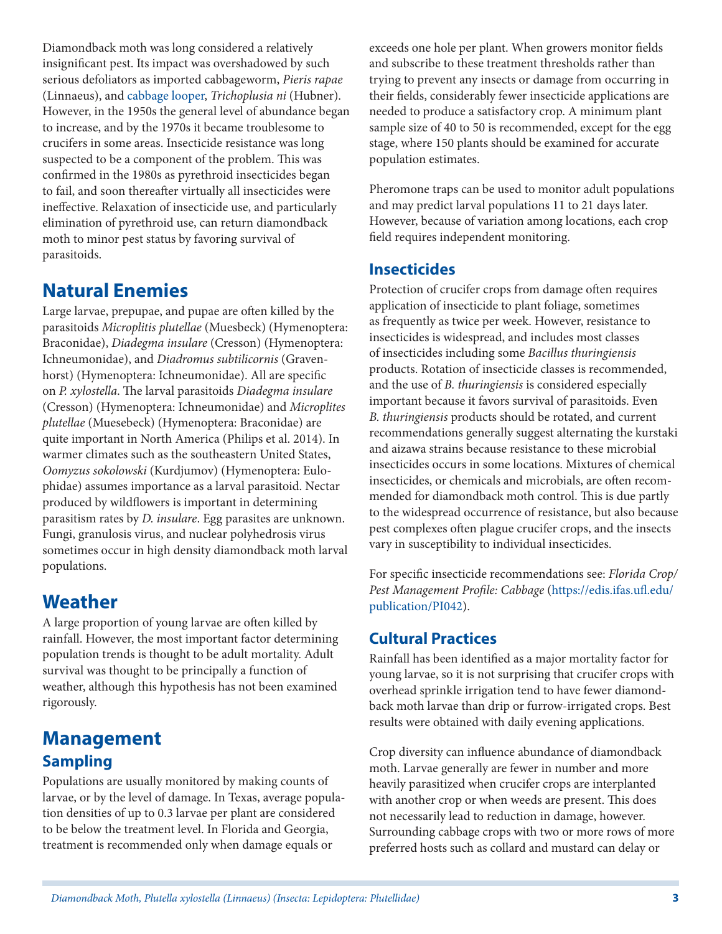Diamondback moth was long considered a relatively insignificant pest. Its impact was overshadowed by such serious defoliators as imported cabbageworm, *Pieris rapae* (Linnaeus), and [cabbage looper](https://edis.ifas.ufl.edu/IN273), *Trichoplusia ni* (Hubner). However, in the 1950s the general level of abundance began to increase, and by the 1970s it became troublesome to crucifers in some areas. Insecticide resistance was long suspected to be a component of the problem. This was confirmed in the 1980s as pyrethroid insecticides began to fail, and soon thereafter virtually all insecticides were ineffective. Relaxation of insecticide use, and particularly elimination of pyrethroid use, can return diamondback moth to minor pest status by favoring survival of parasitoids.

### **Natural Enemies**

Large larvae, prepupae, and pupae are often killed by the parasitoids *Microplitis plutellae* (Muesbeck) (Hymenoptera: Braconidae), *Diadegma insulare* (Cresson) (Hymenoptera: Ichneumonidae), and *Diadromus subtilicornis* (Gravenhorst) (Hymenoptera: Ichneumonidae). All are specific on *P. xylostella*. The larval parasitoids *Diadegma insulare* (Cresson) (Hymenoptera: Ichneumonidae) and *Microplites plutellae* (Muesebeck) (Hymenoptera: Braconidae) are quite important in North America (Philips et al. 2014). In warmer climates such as the southeastern United States, *Oomyzus sokolowski* (Kurdjumov) (Hymenoptera: Eulophidae) assumes importance as a larval parasitoid. Nectar produced by wildflowers is important in determining parasitism rates by *D. insulare*. Egg parasites are unknown. Fungi, granulosis virus, and nuclear polyhedrosis virus sometimes occur in high density diamondback moth larval populations.

### **Weather**

A large proportion of young larvae are often killed by rainfall. However, the most important factor determining population trends is thought to be adult mortality. Adult survival was thought to be principally a function of weather, although this hypothesis has not been examined rigorously.

# **Management Sampling**

Populations are usually monitored by making counts of larvae, or by the level of damage. In Texas, average population densities of up to 0.3 larvae per plant are considered to be below the treatment level. In Florida and Georgia, treatment is recommended only when damage equals or

exceeds one hole per plant. When growers monitor fields and subscribe to these treatment thresholds rather than trying to prevent any insects or damage from occurring in their fields, considerably fewer insecticide applications are needed to produce a satisfactory crop. A minimum plant sample size of 40 to 50 is recommended, except for the egg stage, where 150 plants should be examined for accurate population estimates.

Pheromone traps can be used to monitor adult populations and may predict larval populations 11 to 21 days later. However, because of variation among locations, each crop field requires independent monitoring.

#### **Insecticides**

Protection of crucifer crops from damage often requires application of insecticide to plant foliage, sometimes as frequently as twice per week. However, resistance to insecticides is widespread, and includes most classes of insecticides including some *Bacillus thuringiensis* products. Rotation of insecticide classes is recommended, and the use of *B. thuringiensis* is considered especially important because it favors survival of parasitoids. Even *B. thuringiensis* products should be rotated, and current recommendations generally suggest alternating the kurstaki and aizawa strains because resistance to these microbial insecticides occurs in some locations. Mixtures of chemical insecticides, or chemicals and microbials, are often recommended for diamondback moth control. This is due partly to the widespread occurrence of resistance, but also because pest complexes often plague crucifer crops, and the insects vary in susceptibility to individual insecticides.

For specific insecticide recommendations see: *Florida Crop/ Pest Management Profile: Cabbage* ([https://edis.ifas.ufl.edu/](https://edis.ifas.ufl.edu/publication/PI042) [publication/PI042](https://edis.ifas.ufl.edu/publication/PI042)).

#### **Cultural Practices**

Rainfall has been identified as a major mortality factor for young larvae, so it is not surprising that crucifer crops with overhead sprinkle irrigation tend to have fewer diamondback moth larvae than drip or furrow-irrigated crops. Best results were obtained with daily evening applications.

Crop diversity can influence abundance of diamondback moth. Larvae generally are fewer in number and more heavily parasitized when crucifer crops are interplanted with another crop or when weeds are present. This does not necessarily lead to reduction in damage, however. Surrounding cabbage crops with two or more rows of more preferred hosts such as collard and mustard can delay or